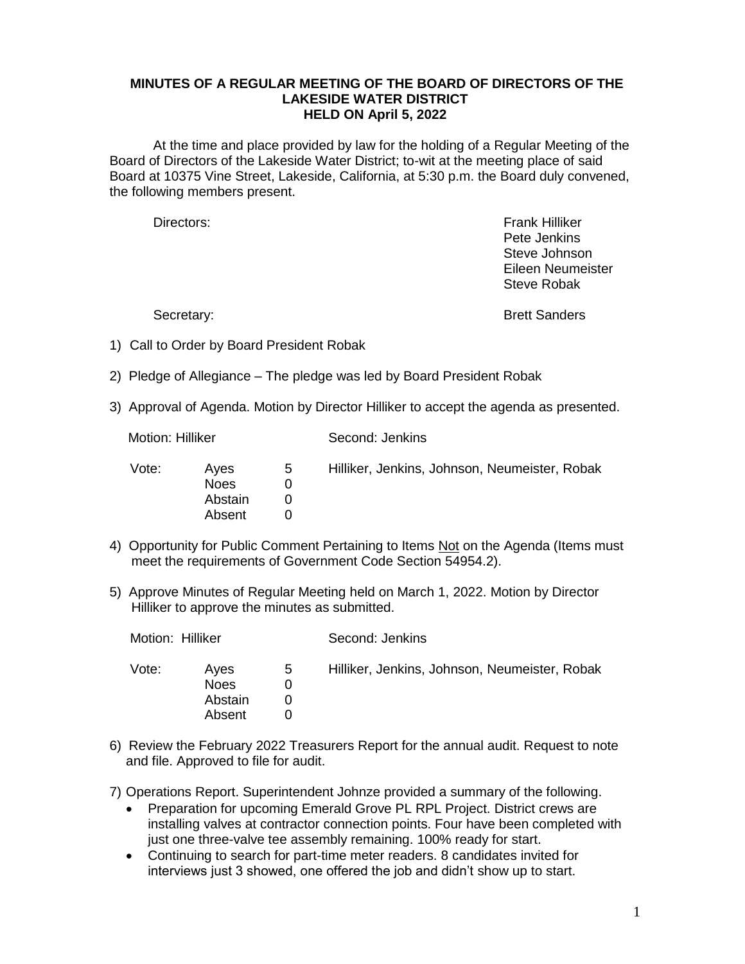## **MINUTES OF A REGULAR MEETING OF THE BOARD OF DIRECTORS OF THE LAKESIDE WATER DISTRICT HELD ON April 5, 2022**

At the time and place provided by law for the holding of a Regular Meeting of the Board of Directors of the Lakeside Water District; to-wit at the meeting place of said Board at 10375 Vine Street, Lakeside, California, at 5:30 p.m. the Board duly convened, the following members present.

Directors: Frank Hilliker Pete Jenkins Steve Johnson Eileen Neumeister Steve Robak

Secretary: Secretary: **Brett Sanders** 

- 1) Call to Order by Board President Robak
- 2) Pledge of Allegiance The pledge was led by Board President Robak
- 3) Approval of Agenda. Motion by Director Hilliker to accept the agenda as presented.

Motion: Hilliker Second: Jenkins

| Vote: | Aves<br><b>Noes</b><br>Abstain<br>Absent | 5 | Hilliker, Jenkins, Johnson, Neumeister, Robak |
|-------|------------------------------------------|---|-----------------------------------------------|
|       |                                          |   |                                               |
|       |                                          |   |                                               |

- 4) Opportunity for Public Comment Pertaining to Items Not on the Agenda (Items must meet the requirements of Government Code Section 54954.2).
- 5) Approve Minutes of Regular Meeting held on March 1, 2022. Motion by Director Hilliker to approve the minutes as submitted.

| Motion: Hilliker |                                   |   | Second: Jenkins                               |  |
|------------------|-----------------------------------|---|-----------------------------------------------|--|
| Vote:            | Aves<br>Noes<br>Abstain<br>Absent | 5 | Hilliker, Jenkins, Johnson, Neumeister, Robak |  |

6) Review the February 2022 Treasurers Report for the annual audit. Request to note and file. Approved to file for audit.

7) Operations Report. Superintendent Johnze provided a summary of the following.

- Preparation for upcoming Emerald Grove PL RPL Project. District crews are installing valves at contractor connection points. Four have been completed with just one three-valve tee assembly remaining. 100% ready for start.
- Continuing to search for part-time meter readers. 8 candidates invited for interviews just 3 showed, one offered the job and didn't show up to start.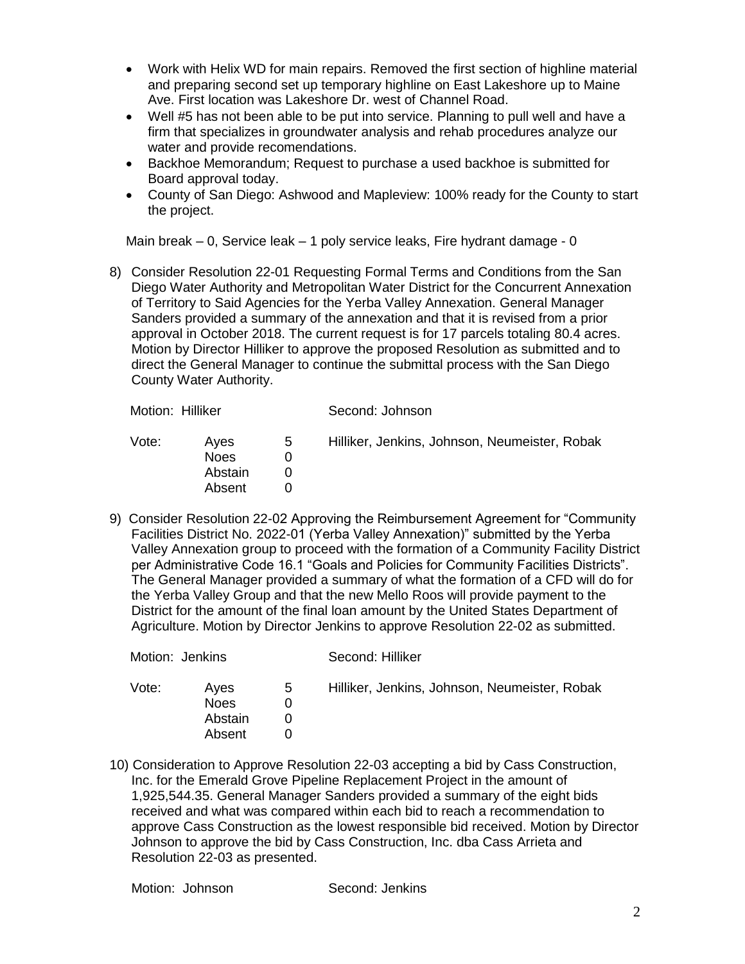- Work with Helix WD for main repairs. Removed the first section of highline material and preparing second set up temporary highline on East Lakeshore up to Maine Ave. First location was Lakeshore Dr. west of Channel Road.
- Well #5 has not been able to be put into service. Planning to pull well and have a firm that specializes in groundwater analysis and rehab procedures analyze our water and provide recomendations.
- Backhoe Memorandum; Request to purchase a used backhoe is submitted for Board approval today.
- County of San Diego: Ashwood and Mapleview: 100% ready for the County to start the project.

Main break – 0, Service leak – 1 poly service leaks, Fire hydrant damage - 0

8) Consider Resolution 22-01 Requesting Formal Terms and Conditions from the San Diego Water Authority and Metropolitan Water District for the Concurrent Annexation of Territory to Said Agencies for the Yerba Valley Annexation. General Manager Sanders provided a summary of the annexation and that it is revised from a prior approval in October 2018. The current request is for 17 parcels totaling 80.4 acres. Motion by Director Hilliker to approve the proposed Resolution as submitted and to direct the General Manager to continue the submittal process with the San Diego County Water Authority.

| Motion: Hilliker |                                          |   | Second: Johnson                               |  |
|------------------|------------------------------------------|---|-----------------------------------------------|--|
| Vote:            | Aves<br><b>Noes</b><br>Abstain<br>Absent | 5 | Hilliker, Jenkins, Johnson, Neumeister, Robak |  |

9) Consider Resolution 22-02 Approving the Reimbursement Agreement for "Community Facilities District No. 2022-01 (Yerba Valley Annexation)" submitted by the Yerba Valley Annexation group to proceed with the formation of a Community Facility District per Administrative Code 16.1 "Goals and Policies for Community Facilities Districts". The General Manager provided a summary of what the formation of a CFD will do for the Yerba Valley Group and that the new Mello Roos will provide payment to the District for the amount of the final loan amount by the United States Department of Agriculture. Motion by Director Jenkins to approve Resolution 22-02 as submitted.

| Motion: Jenkins |                                          |   | Second: Hilliker                              |  |
|-----------------|------------------------------------------|---|-----------------------------------------------|--|
| Vote:           | Aves<br><b>Noes</b><br>Abstain<br>Absent | 5 | Hilliker, Jenkins, Johnson, Neumeister, Robak |  |

10) Consideration to Approve Resolution 22-03 accepting a bid by Cass Construction, Inc. for the Emerald Grove Pipeline Replacement Project in the amount of 1,925,544.35. General Manager Sanders provided a summary of the eight bids received and what was compared within each bid to reach a recommendation to approve Cass Construction as the lowest responsible bid received. Motion by Director Johnson to approve the bid by Cass Construction, Inc. dba Cass Arrieta and Resolution 22-03 as presented.

Motion: Johnson Second: Jenkins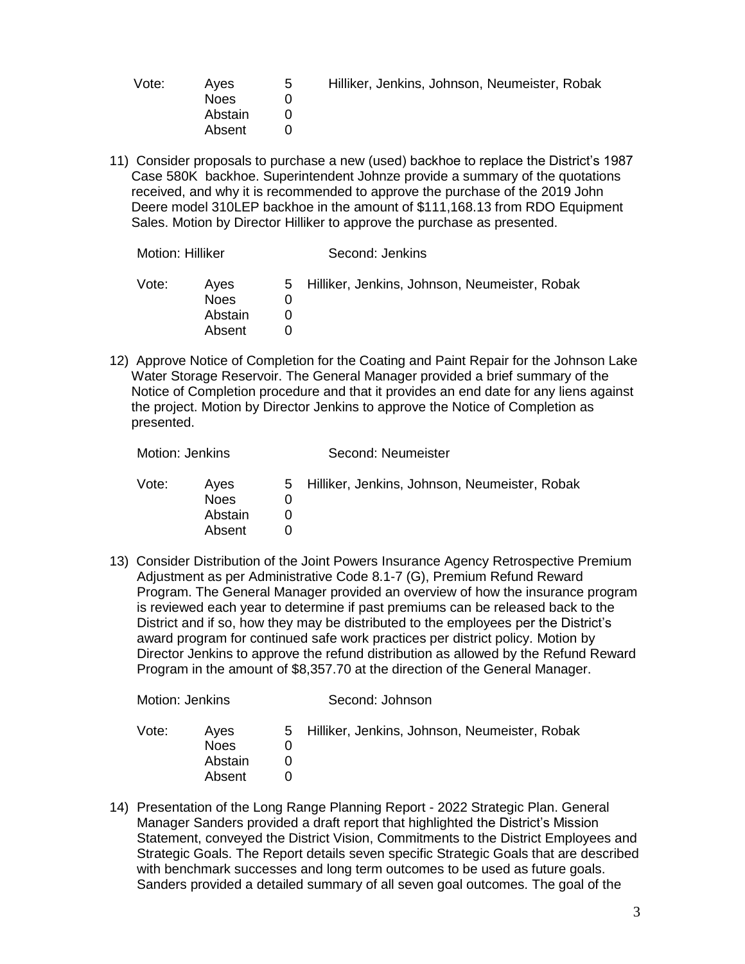| Vote: | Aves        | 5 | Hilliker, Jenkins, Johnson, Neumeister, Robak |
|-------|-------------|---|-----------------------------------------------|
|       | <b>Noes</b> |   |                                               |
|       | Abstain     |   |                                               |
|       | Absent      |   |                                               |

11) Consider proposals to purchase a new (used) backhoe to replace the District's 1987 Case 580K backhoe. Superintendent Johnze provide a summary of the quotations received, and why it is recommended to approve the purchase of the 2019 John Deere model 310LEP backhoe in the amount of \$111,168.13 from RDO Equipment Sales. Motion by Director Hilliker to approve the purchase as presented.

| Motion: Hilliker |                                          | Second: Jenkins |                                                 |  |
|------------------|------------------------------------------|-----------------|-------------------------------------------------|--|
| Vote:            | Aves<br><b>Noes</b><br>Abstain<br>Absent |                 | 5 Hilliker, Jenkins, Johnson, Neumeister, Robak |  |

12) Approve Notice of Completion for the Coating and Paint Repair for the Johnson Lake Water Storage Reservoir. The General Manager provided a brief summary of the Notice of Completion procedure and that it provides an end date for any liens against the project. Motion by Director Jenkins to approve the Notice of Completion as presented.

| Motion: Jenkins |                                          | Second: Neumeister                              |
|-----------------|------------------------------------------|-------------------------------------------------|
| Vote:           | Aves<br><b>Noes</b><br>Abstain<br>Absent | 5 Hilliker, Jenkins, Johnson, Neumeister, Robak |

13) Consider Distribution of the Joint Powers Insurance Agency Retrospective Premium Adjustment as per Administrative Code 8.1-7 (G), Premium Refund Reward Program. The General Manager provided an overview of how the insurance program is reviewed each year to determine if past premiums can be released back to the District and if so, how they may be distributed to the employees per the District's award program for continued safe work practices per district policy. Motion by Director Jenkins to approve the refund distribution as allowed by the Refund Reward Program in the amount of \$8,357.70 at the direction of the General Manager.

| Motion: Jenkins |                                          | Second: Johnson |                                                 |  |
|-----------------|------------------------------------------|-----------------|-------------------------------------------------|--|
| Vote:           | Aves<br><b>Noes</b><br>Abstain<br>Absent |                 | 5 Hilliker, Jenkins, Johnson, Neumeister, Robak |  |

14) Presentation of the Long Range Planning Report - 2022 Strategic Plan. General Manager Sanders provided a draft report that highlighted the District's Mission Statement, conveyed the District Vision, Commitments to the District Employees and Strategic Goals. The Report details seven specific Strategic Goals that are described with benchmark successes and long term outcomes to be used as future goals. Sanders provided a detailed summary of all seven goal outcomes. The goal of the